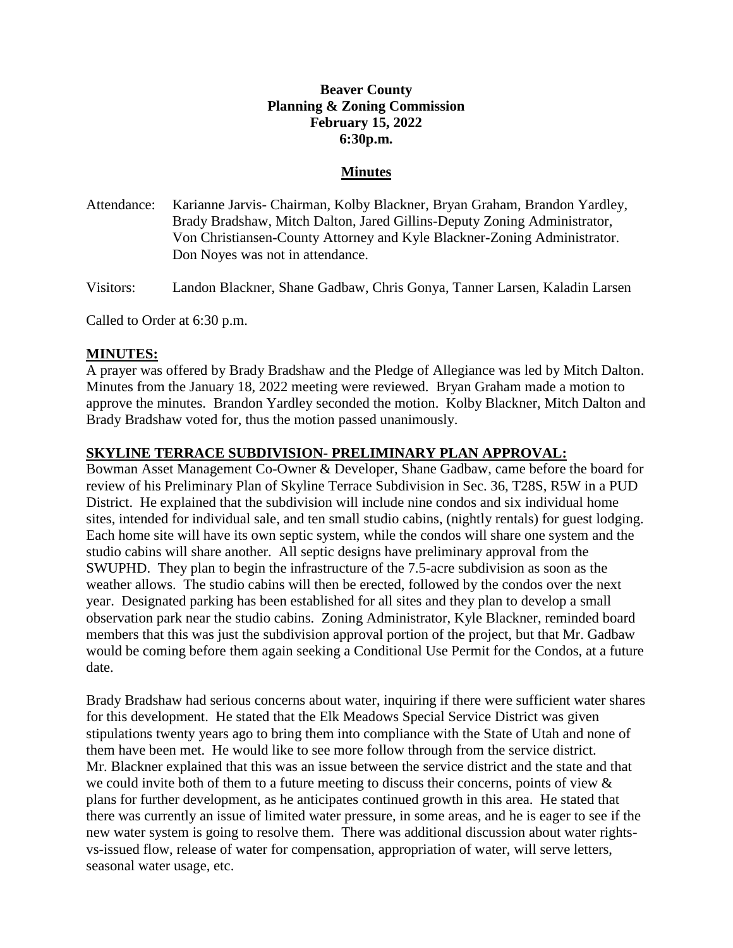# **Beaver County Planning & Zoning Commission February 15, 2022 6:30p.m.**

#### **Minutes**

Attendance: Karianne Jarvis- Chairman, Kolby Blackner, Bryan Graham, Brandon Yardley, Brady Bradshaw, Mitch Dalton, Jared Gillins-Deputy Zoning Administrator, Von Christiansen-County Attorney and Kyle Blackner-Zoning Administrator. Don Noyes was not in attendance.

Visitors: Landon Blackner, Shane Gadbaw, Chris Gonya, Tanner Larsen, Kaladin Larsen

Called to Order at 6:30 p.m.

## **MINUTES:**

A prayer was offered by Brady Bradshaw and the Pledge of Allegiance was led by Mitch Dalton. Minutes from the January 18, 2022 meeting were reviewed. Bryan Graham made a motion to approve the minutes. Brandon Yardley seconded the motion. Kolby Blackner, Mitch Dalton and Brady Bradshaw voted for, thus the motion passed unanimously.

#### **SKYLINE TERRACE SUBDIVISION- PRELIMINARY PLAN APPROVAL:**

Bowman Asset Management Co-Owner & Developer, Shane Gadbaw, came before the board for review of his Preliminary Plan of Skyline Terrace Subdivision in Sec. 36, T28S, R5W in a PUD District. He explained that the subdivision will include nine condos and six individual home sites, intended for individual sale, and ten small studio cabins, (nightly rentals) for guest lodging. Each home site will have its own septic system, while the condos will share one system and the studio cabins will share another. All septic designs have preliminary approval from the SWUPHD. They plan to begin the infrastructure of the 7.5-acre subdivision as soon as the weather allows. The studio cabins will then be erected, followed by the condos over the next year. Designated parking has been established for all sites and they plan to develop a small observation park near the studio cabins. Zoning Administrator, Kyle Blackner, reminded board members that this was just the subdivision approval portion of the project, but that Mr. Gadbaw would be coming before them again seeking a Conditional Use Permit for the Condos, at a future date.

Brady Bradshaw had serious concerns about water, inquiring if there were sufficient water shares for this development. He stated that the Elk Meadows Special Service District was given stipulations twenty years ago to bring them into compliance with the State of Utah and none of them have been met. He would like to see more follow through from the service district. Mr. Blackner explained that this was an issue between the service district and the state and that we could invite both of them to a future meeting to discuss their concerns, points of view & plans for further development, as he anticipates continued growth in this area. He stated that there was currently an issue of limited water pressure, in some areas, and he is eager to see if the new water system is going to resolve them. There was additional discussion about water rightsvs-issued flow, release of water for compensation, appropriation of water, will serve letters, seasonal water usage, etc.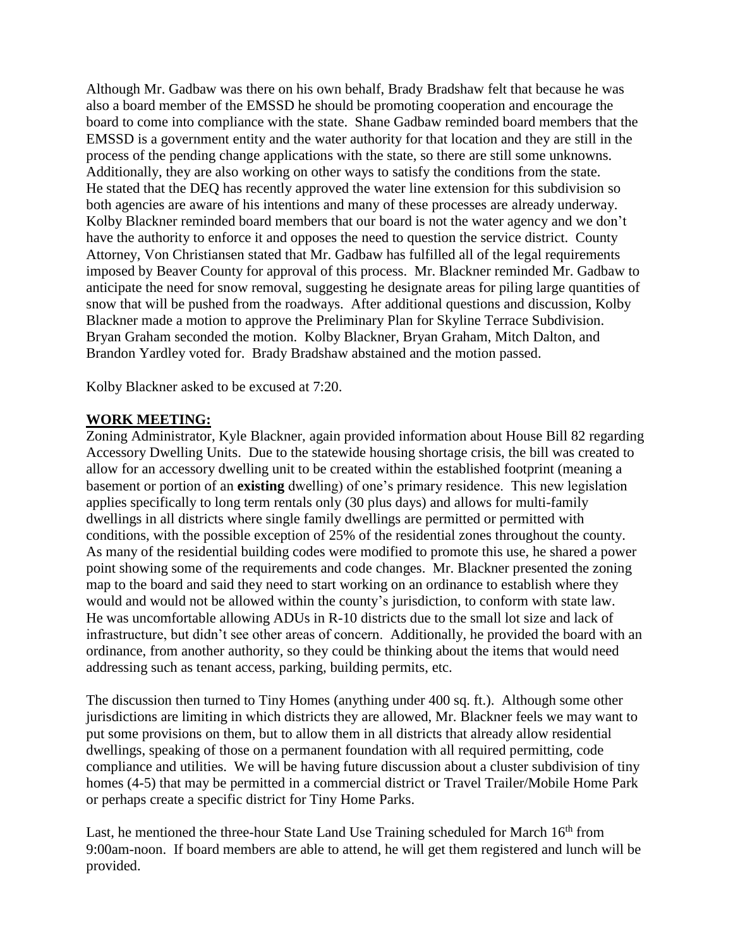Although Mr. Gadbaw was there on his own behalf, Brady Bradshaw felt that because he was also a board member of the EMSSD he should be promoting cooperation and encourage the board to come into compliance with the state. Shane Gadbaw reminded board members that the EMSSD is a government entity and the water authority for that location and they are still in the process of the pending change applications with the state, so there are still some unknowns. Additionally, they are also working on other ways to satisfy the conditions from the state. He stated that the DEQ has recently approved the water line extension for this subdivision so both agencies are aware of his intentions and many of these processes are already underway. Kolby Blackner reminded board members that our board is not the water agency and we don't have the authority to enforce it and opposes the need to question the service district. County Attorney, Von Christiansen stated that Mr. Gadbaw has fulfilled all of the legal requirements imposed by Beaver County for approval of this process. Mr. Blackner reminded Mr. Gadbaw to anticipate the need for snow removal, suggesting he designate areas for piling large quantities of snow that will be pushed from the roadways. After additional questions and discussion, Kolby Blackner made a motion to approve the Preliminary Plan for Skyline Terrace Subdivision. Bryan Graham seconded the motion. Kolby Blackner, Bryan Graham, Mitch Dalton, and Brandon Yardley voted for. Brady Bradshaw abstained and the motion passed.

Kolby Blackner asked to be excused at 7:20.

## **WORK MEETING:**

Zoning Administrator, Kyle Blackner, again provided information about House Bill 82 regarding Accessory Dwelling Units. Due to the statewide housing shortage crisis, the bill was created to allow for an accessory dwelling unit to be created within the established footprint (meaning a basement or portion of an **existing** dwelling) of one's primary residence. This new legislation applies specifically to long term rentals only (30 plus days) and allows for multi-family dwellings in all districts where single family dwellings are permitted or permitted with conditions, with the possible exception of 25% of the residential zones throughout the county. As many of the residential building codes were modified to promote this use, he shared a power point showing some of the requirements and code changes. Mr. Blackner presented the zoning map to the board and said they need to start working on an ordinance to establish where they would and would not be allowed within the county's jurisdiction, to conform with state law. He was uncomfortable allowing ADUs in R-10 districts due to the small lot size and lack of infrastructure, but didn't see other areas of concern. Additionally, he provided the board with an ordinance, from another authority, so they could be thinking about the items that would need addressing such as tenant access, parking, building permits, etc.

The discussion then turned to Tiny Homes (anything under 400 sq. ft.). Although some other jurisdictions are limiting in which districts they are allowed, Mr. Blackner feels we may want to put some provisions on them, but to allow them in all districts that already allow residential dwellings, speaking of those on a permanent foundation with all required permitting, code compliance and utilities. We will be having future discussion about a cluster subdivision of tiny homes (4-5) that may be permitted in a commercial district or Travel Trailer/Mobile Home Park or perhaps create a specific district for Tiny Home Parks.

Last, he mentioned the three-hour State Land Use Training scheduled for March  $16<sup>th</sup>$  from 9:00am-noon. If board members are able to attend, he will get them registered and lunch will be provided.